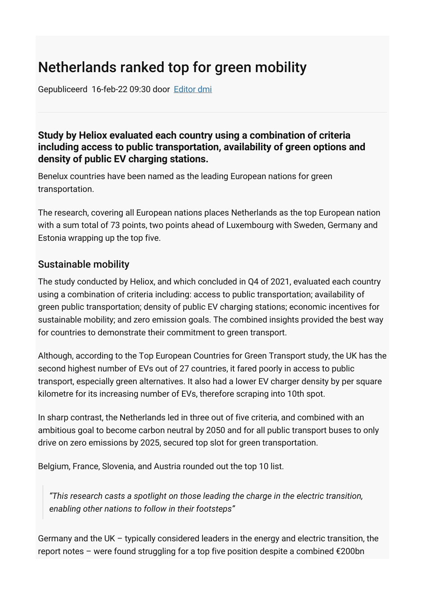## Netherlands ranked top for green mobility

Gepubliceerd 16-feb-22 09:30 door [Editor dmi](https://dutchmobilityinnovations.com/people/Redactie-DMI)

## **Study by Heliox evaluated each country using a combination of criteria including access to public transportation, availability of green options and density of public EV charging stations.**

Benelux countries have been named as the leading European nations for green transportation.

The research, covering all European nations places Netherlands as the top European nation with a sum total of 73 points, two points ahead of Luxembourg with Sweden, Germany and Estonia wrapping up the top five.

## Sustainable mobility

The study conducted by Heliox, and which concluded in Q4 of 2021, evaluated each country using a combination of criteria including: access to public transportation; availability of green public transportation; density of public EV charging stations; economic incentives for sustainable mobility; and zero emission goals. The combined insights provided the best way for countries to demonstrate their commitment to green transport.

Although, according to the Top European Countries for Green Transport study, the UK has the second highest number of EVs out of 27 countries, it fared poorly in access to public transport, especially green alternatives. It also had a lower EV charger density by per square kilometre for its increasing number of EVs, therefore scraping into 10th spot.

In sharp contrast, the Netherlands led in three out of five criteria, and combined with an ambitious goal to become carbon neutral by 2050 and for all public transport buses to only drive on zero emissions by 2025, secured top slot for green transportation.

Belgium, France, Slovenia, and Austria rounded out the top 10 list.

*"This research casts a spotlight on those leading the charge in the electric transition, enabling other nations to follow in their footsteps"*

Germany and the UK – typically considered leaders in the energy and electric transition, the report notes – were found struggling for a top five position despite a combined €200bn